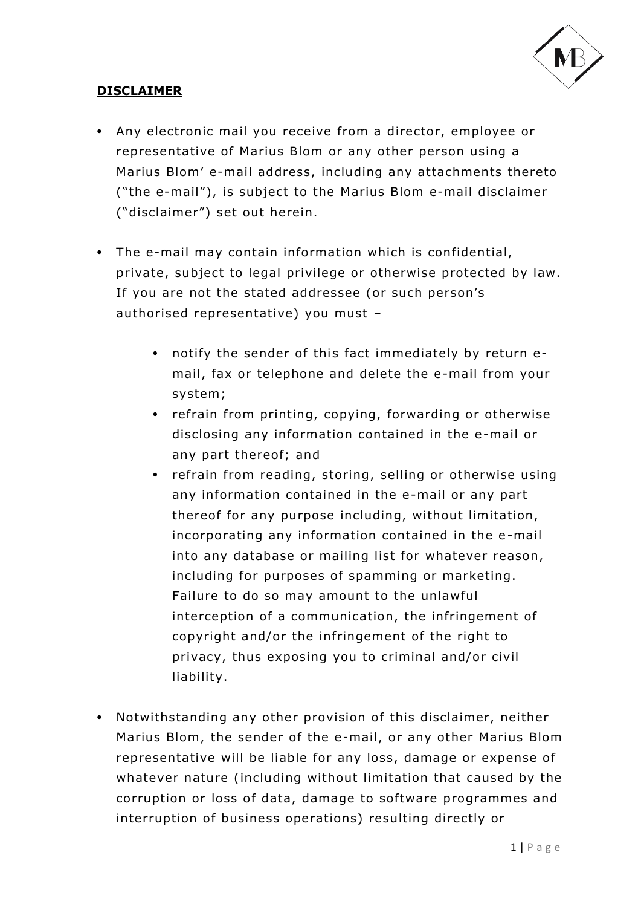

## **DISCLAIMER**

- Any electronic mail you receive from a director, employee or representative of Marius Blom or any other person using a Marius Blom' e-mail address, including any attachments thereto ("the e-mail"), is subject to the Marius Blom e-mail disclaimer ("disclaimer") set out herein.
- The e-mail may contain information which is confidential, private, subject to legal privilege or otherwise protected by law. If you are not the stated addressee (or such person's authorised representative) you must –
	- notify the sender of this fact immediately by return email, fax or telephone and delete the e-mail from your system;
	- refrain from printing, copying, forwarding or otherwise disclosing any information contained in the e-mail or any part thereof; and
	- refrain from reading, storing, selling or otherwise using any information contained in the e-mail or any part thereof for any purpose including, without limitation, incorporating any information contained in the e-mail into any database or mailing list for whatever reason, including for purposes of spamming or marketing. Failure to do so may amount to the unlawful interception of a communication, the infringement of copyright and/or the infringement of the right to privacy, thus exposing you to criminal and/or civil liability.
- Notwithstanding any other provision of this disclaimer, neither Marius Blom, the sender of the e-mail, or any other Marius Blom representative will be liable for any loss, damage or expense of whatever nature (including without limitation that caused by the corruption or loss of data, damage to software programmes and interruption of business operations) resulting directly or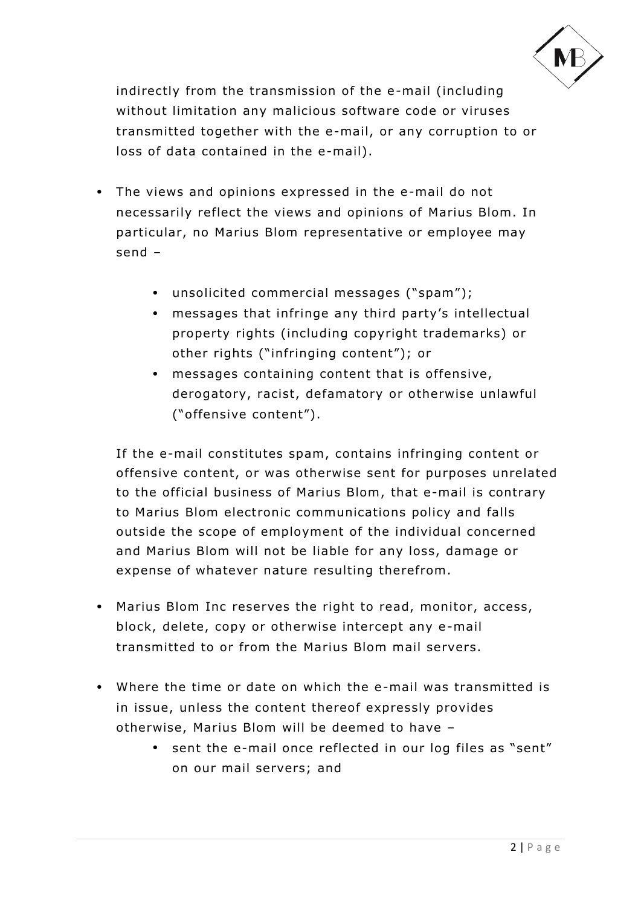

indirectly from the transmission of the e-mail (including without limitation any malicious software code or viruses transmitted together with the e-mail, or any corruption to or loss of data contained in the e-mail).

- The views and opinions expressed in the e-mail do not necessarily reflect the views and opinions of Marius Blom. In particular, no Marius Blom representative or employee may send –
	- unsolicited commercial messages ("spam");
	- messages that infringe any third party's intellectual property rights (including copyright trademarks) or other rights ("infringing content"); or
	- messages containing content that is offensive, derogatory, racist, defamatory or otherwise unlawful ("o ffensive content").

If the e-mail constitutes spam, contains infringing content or offensive content, or was otherwise sent for purposes unrelated to the official business of Marius Blom, that e-mail is contrary to Marius Blom electronic communications policy and falls outside the scope of employment of the individual concerned and Marius Blom will not be liable for any loss, damage or expense of whatever nature resulting therefrom.

- Marius Blom Inc reserves the right to read, monitor, access, block, delete, copy or otherwise intercept any e-mail transmitted to or from the Marius Blom mail servers.
- Where the time or date on which the e-mail was transmitted is in issue, unless the content thereof expressly provides otherwise, Marius Blom will be deemed to have –
	- sent the e-mail once reflected in our log files as "sent" on our mail servers; and